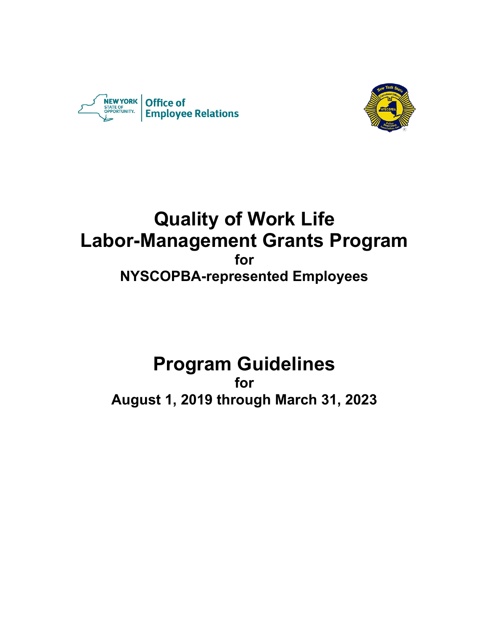



## **Quality of Work Life Labor-Management Grants Program for NYSCOPBA-represented Employees**

# **Program Guidelines**

**for August 1, 2019 through March 31, 2023**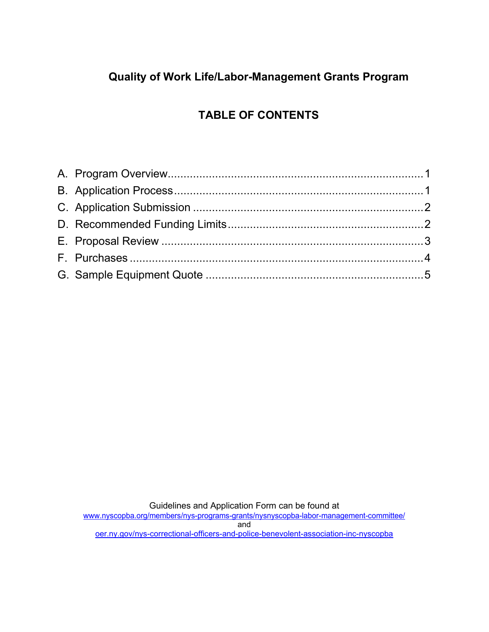### **Quality of Work Life/Labor-Management Grants Program**

## **TABLE OF CONTENTS**

Guidelines and Application Form can be found at

www.nyscopba.org/members/nys-programs-grants/nysnyscopba-labor-management-committee/ and oer.ny.gov/nys-correctional-officers-and-police-benevolent-association-inc-nyscopba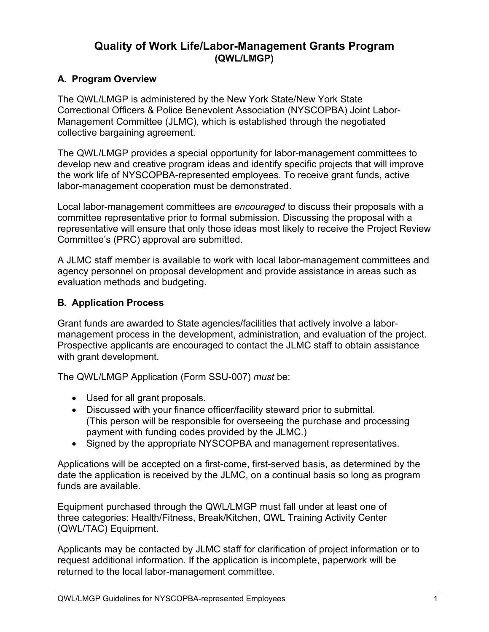#### **Quality of Work Life/Labor-Management Grants Program (QWL/LMGP)**

#### <span id="page-2-0"></span>**A. Program Overview**

The QWL/LMGP is administered by the New York State/New York State Correctional Officers & Police Benevolent Association (NYSCOPBA) Joint Labor-Management Committee (JLMC), which is established through the negotiated collective bargaining agreement.

The QWL/LMGP provides a special opportunity for labor-management committees to develop new and creative program ideas and identify specific projects that will improve the work life of NYSCOPBA-represented employees. To receive grant funds, active labor-management cooperation must be demonstrated.

Local labor-management committees are *encouraged* to discuss their proposals with a committee representative prior to formal submission. Discussing the proposal with a representative will ensure that only those ideas most likely to receive the Project Review Committee's (PRC) approval are submitted.

A JLMC staff member is available to work with local labor-management committees and agency personnel on proposal development and provide assistance in areas such as evaluation methods and budgeting.

#### <span id="page-2-1"></span>**B. Application Process**

Grant funds are awarded to State agencies/facilities that actively involve a labormanagement process in the development, administration, and evaluation of the project. Prospective applicants are encouraged to contact the JLMC staff to obtain assistance with grant development.

The QWL/LMGP Application (Form SSU-007) *must* be:

- Used for all grant proposals.
- Discussed with your finance officer/facility steward prior to submittal. (This person will be responsible for overseeing the purchase and processing payment with funding codes provided by the JLMC.)
- Signed by the appropriate NYSCOPBA and management representatives.

Applications will be accepted on a first-come, first-served basis, as determined by the date the application is received by the JLMC, on a continual basis so long as program funds are available.

Equipment purchased through the QWL/LMGP must fall under at least one of three categories: Health/Fitness, Break/Kitchen, QWL Training Activity Center (QWL/TAC) Equipment.

Applicants may be contacted by JLMC staff for clarification of project information or to request additional information. If the application is incomplete, paperwork will be returned to the local labor-management committee.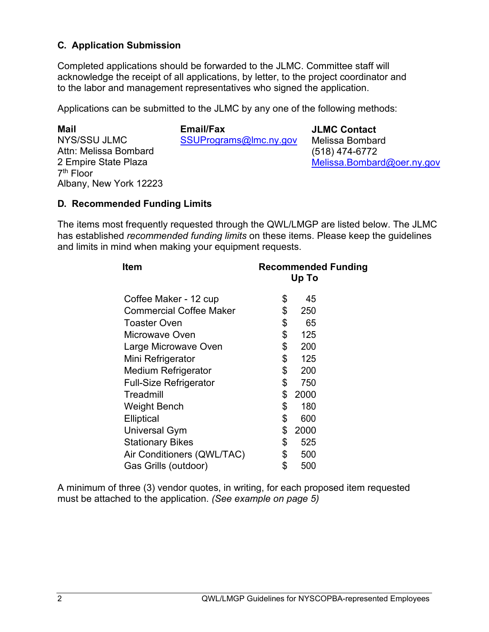#### <span id="page-3-0"></span>**C. Application Submission**

Completed applications should be forwarded to the JLMC. Committee staff will acknowledge the receipt of all applications, by letter, to the project coordinator and to the labor and management representatives who signed the application.

Applications can be submitted to the JLMC by any one of the following methods:

| Mail                   | <b>Email/Fax</b>       | <b>JLMC Contact</b>        |
|------------------------|------------------------|----------------------------|
| NYS/SSU JLMC           | SSUPrograms@lmc.ny.gov | Melissa Bombard            |
| Attn: Melissa Bombard  |                        | $(518)$ 474-6772           |
| 2 Empire State Plaza   |                        | Melissa.Bombard@oer.ny.gov |
| $7th$ Floor            |                        |                            |
| Albany, New York 12223 |                        |                            |

#### <span id="page-3-1"></span>**D. Recommended Funding Limits**

The items most frequently requested through the QWL/LMGP are listed below. The JLMC has established *recommended funding limits* on these items. Please keep the guidelines and limits in mind when making your equipment requests.

| <b>Item</b>                    | <b>Recommended Funding</b><br>Up To |      |  |
|--------------------------------|-------------------------------------|------|--|
|                                |                                     |      |  |
| Coffee Maker - 12 cup          | \$                                  | 45   |  |
| <b>Commercial Coffee Maker</b> | \$                                  | 250  |  |
| <b>Toaster Oven</b>            | \$                                  | 65   |  |
| Microwave Oven                 | \$                                  | 125  |  |
| Large Microwave Oven           | \$                                  | 200  |  |
| Mini Refrigerator              | \$                                  | 125  |  |
| <b>Medium Refrigerator</b>     | \$                                  | 200  |  |
| <b>Full-Size Refrigerator</b>  | \$                                  | 750  |  |
| Treadmill                      | \$                                  | 2000 |  |
| <b>Weight Bench</b>            | \$                                  | 180  |  |
| <b>Elliptical</b>              | \$                                  | 600  |  |
| <b>Universal Gym</b>           | \$                                  | 2000 |  |
| <b>Stationary Bikes</b>        | \$                                  | 525  |  |
| Air Conditioners (QWL/TAC)     | \$                                  | 500  |  |
| Gas Grills (outdoor)           | \$                                  | 500  |  |

A minimum of three (3) vendor quotes, in writing, for each proposed item requested must be attached to the application. *(See example on page 5)*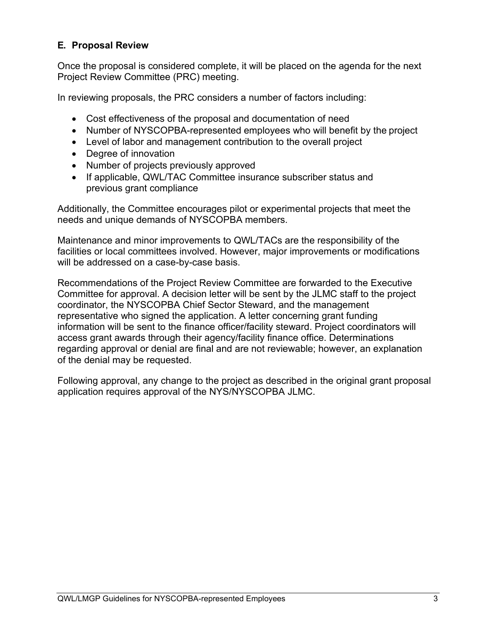#### <span id="page-4-0"></span>**E. Proposal Review**

Once the proposal is considered complete, it will be placed on the agenda for the next Project Review Committee (PRC) meeting.

In reviewing proposals, the PRC considers a number of factors including:

- Cost effectiveness of the proposal and documentation of need
- Number of NYSCOPBA-represented employees who will benefit by the project
- Level of labor and management contribution to the overall project
- Degree of innovation
- Number of projects previously approved
- If applicable, QWL/TAC Committee insurance subscriber status and previous grant compliance

Additionally, the Committee encourages pilot or experimental projects that meet the needs and unique demands of NYSCOPBA members.

Maintenance and minor improvements to QWL/TACs are the responsibility of the facilities or local committees involved. However, major improvements or modifications will be addressed on a case-by-case basis.

Recommendations of the Project Review Committee are forwarded to the Executive Committee for approval. A decision letter will be sent by the JLMC staff to the project coordinator, the NYSCOPBA Chief Sector Steward, and the management representative who signed the application. A letter concerning grant funding information will be sent to the finance officer/facility steward. Project coordinators will access grant awards through their agency/facility finance office. Determinations regarding approval or denial are final and are not reviewable; however, an explanation of the denial may be requested.

Following approval, any change to the project as described in the original grant proposal application requires approval of the NYS/NYSCOPBA JLMC.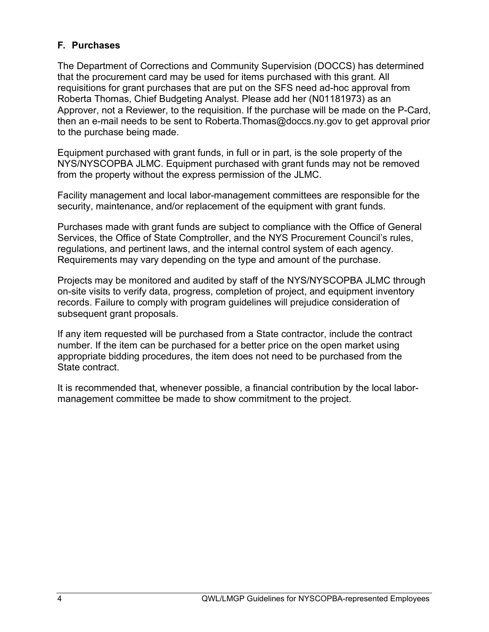#### <span id="page-5-0"></span>**F. Purchases**

The Department of Corrections and Community Supervision (DOCCS) has determined that the procurement card may be used for items purchased with this grant. All requisitions for grant purchases that are put on the SFS need ad-hoc approval from Roberta Thomas, Chief Budgeting Analyst. Please add her (N01181973) as an Approver, not a Reviewer, to the requisition. If the purchase will be made on the P-Card, then an e-mail needs to be sent to Roberta.Thomas@doccs.ny.gov to get approval prior to the purchase being made.

Equipment purchased with grant funds, in full or in part, is the sole property of the NYS/NYSCOPBA JLMC. Equipment purchased with grant funds may not be removed from the property without the express permission of the JLMC.

Facility management and local labor-management committees are responsible for the security, maintenance, and/or replacement of the equipment with grant funds.

Purchases made with grant funds are subject to compliance with the Office of General Services, the Office of State Comptroller, and the NYS Procurement Council's rules, regulations, and pertinent laws, and the internal control system of each agency. Requirements may vary depending on the type and amount of the purchase.

Projects may be monitored and audited by staff of the NYS/NYSCOPBA JLMC through on-site visits to verify data, progress, completion of project, and equipment inventory records. Failure to comply with program guidelines will prejudice consideration of subsequent grant proposals.

If any item requested will be purchased from a State contractor, include the contract number. If the item can be purchased for a better price on the open market using appropriate bidding procedures, the item does not need to be purchased from the State contract.

It is recommended that, whenever possible, a financial contribution by the local labormanagement committee be made to show commitment to the project.